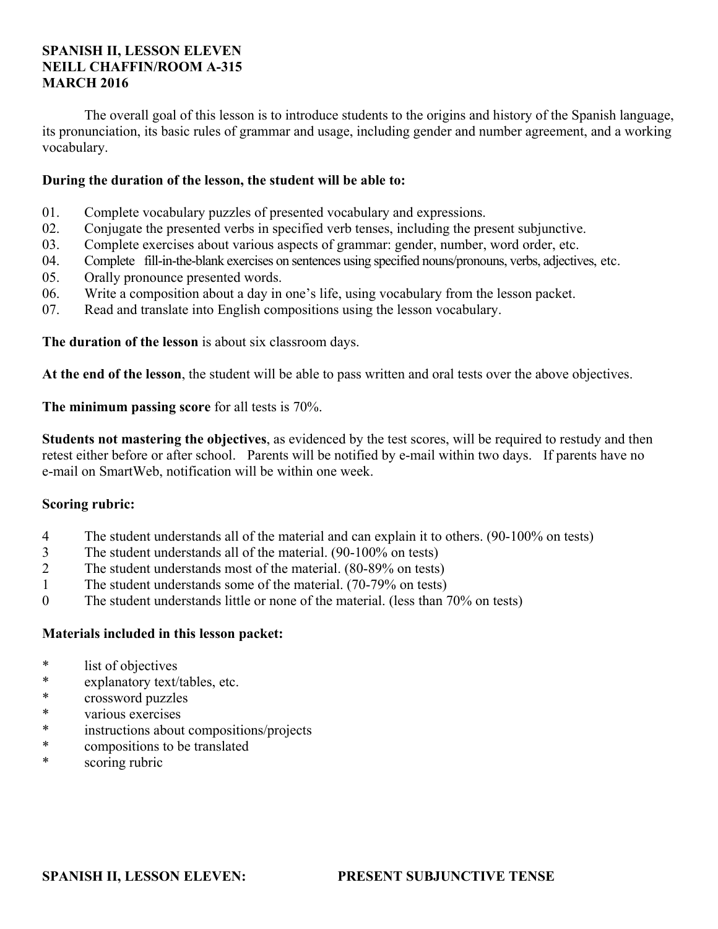#### **SPANISH II, LESSON ELEVEN NEILL CHAFFIN/ROOM A-315 MARCH 2016**

 The overall goal of this lesson is to introduce students to the origins and history of the Spanish language, its pronunciation, its basic rules of grammar and usage, including gender and number agreement, and a working vocabulary.

#### **During the duration of the lesson, the student will be able to:**

- 01. Complete vocabulary puzzles of presented vocabulary and expressions.
- 02. Conjugate the presented verbs in specified verb tenses, including the present subjunctive.
- 03. Complete exercises about various aspects of grammar: gender, number, word order, etc.
- 04. Complete fill-in-the-blank exercises on sentences using specified nouns/pronouns, verbs, adjectives, etc.
- 05. Orally pronounce presented words.
- 06. Write a composition about a day in one's life, using vocabulary from the lesson packet.
- 07. Read and translate into English compositions using the lesson vocabulary.

**The duration of the lesson** is about six classroom days.

**At the end of the lesson**, the student will be able to pass written and oral tests over the above objectives.

**The minimum passing score** for all tests is 70%.

**Students not mastering the objectives**, as evidenced by the test scores, will be required to restudy and then retest either before or after school. Parents will be notified by e-mail within two days. If parents have no e-mail on SmartWeb, notification will be within one week.

## **Scoring rubric:**

- 4 The student understands all of the material and can explain it to others. (90-100% on tests)
- 3 The student understands all of the material. (90-100% on tests)
- 2 The student understands most of the material. (80-89% on tests)
- 1 The student understands some of the material. (70-79% on tests)
- 0 The student understands little or none of the material. (less than 70% on tests)

## **Materials included in this lesson packet:**

- \* list of objectives
- \* explanatory text/tables, etc.
- \* crossword puzzles
- \* various exercises
- instructions about compositions/projects
- \* compositions to be translated
- \* scoring rubric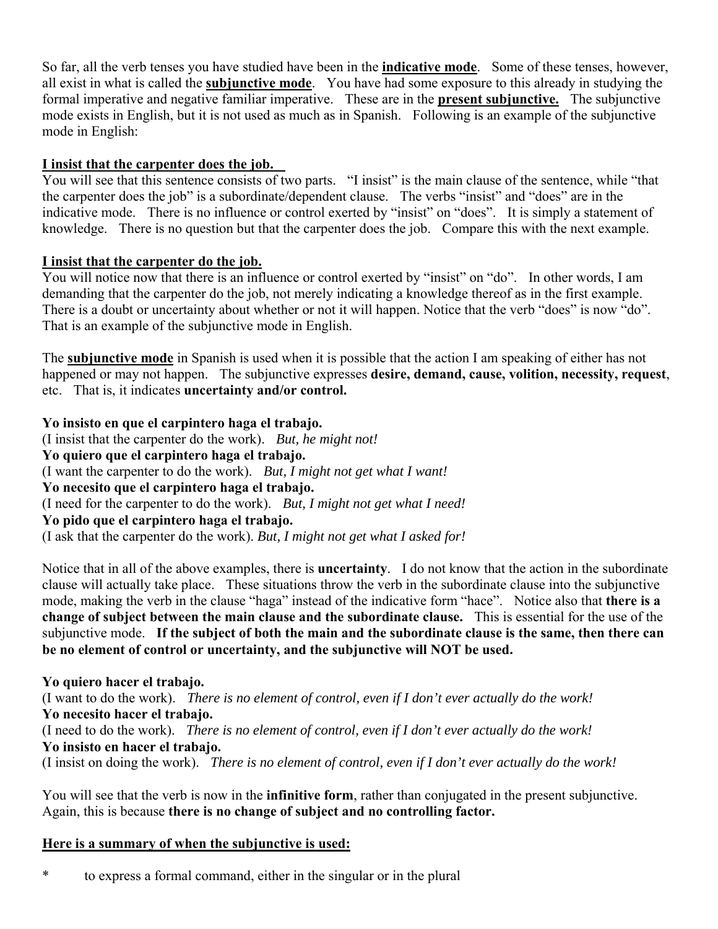So far, all the verb tenses you have studied have been in the **indicative mode**. Some of these tenses, however, all exist in what is called the **subjunctive mode**. You have had some exposure to this already in studying the formal imperative and negative familiar imperative. These are in the **present subjunctive.** The subjunctive mode exists in English, but it is not used as much as in Spanish. Following is an example of the subjunctive mode in English:

## **I insist that the carpenter does the job.**

You will see that this sentence consists of two parts. "I insist" is the main clause of the sentence, while "that the carpenter does the job" is a subordinate/dependent clause. The verbs "insist" and "does" are in the indicative mode. There is no influence or control exerted by "insist" on "does". It is simply a statement of knowledge. There is no question but that the carpenter does the job. Compare this with the next example.

## **I insist that the carpenter do the job.**

You will notice now that there is an influence or control exerted by "insist" on "do". In other words, I am demanding that the carpenter do the job, not merely indicating a knowledge thereof as in the first example. There is a doubt or uncertainty about whether or not it will happen. Notice that the verb "does" is now "do". That is an example of the subjunctive mode in English.

The **subjunctive mode** in Spanish is used when it is possible that the action I am speaking of either has not happened or may not happen. The subjunctive expresses **desire, demand, cause, volition, necessity, request**, etc. That is, it indicates **uncertainty and/or control.**

**Yo insisto en que el carpintero haga el trabajo.** (I insist that the carpenter do the work). *But, he might not!* **Yo quiero que el carpintero haga el trabajo.** (I want the carpenter to do the work). *But, I might not get what I want!* **Yo necesito que el carpintero haga el trabajo.** (I need for the carpenter to do the work). *But, I might not get what I need!* **Yo pido que el carpintero haga el trabajo.** (I ask that the carpenter do the work). *But, I might not get what I asked for!*

Notice that in all of the above examples, there is **uncertainty**. I do not know that the action in the subordinate clause will actually take place. These situations throw the verb in the subordinate clause into the subjunctive mode, making the verb in the clause "haga" instead of the indicative form "hace". Notice also that **there is a change of subject between the main clause and the subordinate clause.** This is essential for the use of the subjunctive mode. **If the subject of both the main and the subordinate clause is the same, then there can be no element of control or uncertainty, and the subjunctive will NOT be used.**

## **Yo quiero hacer el trabajo.**

(I want to do the work). *There is no element of control, even if I don't ever actually do the work!* **Yo necesito hacer el trabajo.** (I need to do the work). *There is no element of control, even if I don't ever actually do the work!* **Yo insisto en hacer el trabajo.**

(I insist on doing the work). *There is no element of control, even if I don't ever actually do the work!*

You will see that the verb is now in the **infinitive form**, rather than conjugated in the present subjunctive. Again, this is because **there is no change of subject and no controlling factor.**

## **Here is a summary of when the subjunctive is used:**

\* to express a formal command, either in the singular or in the plural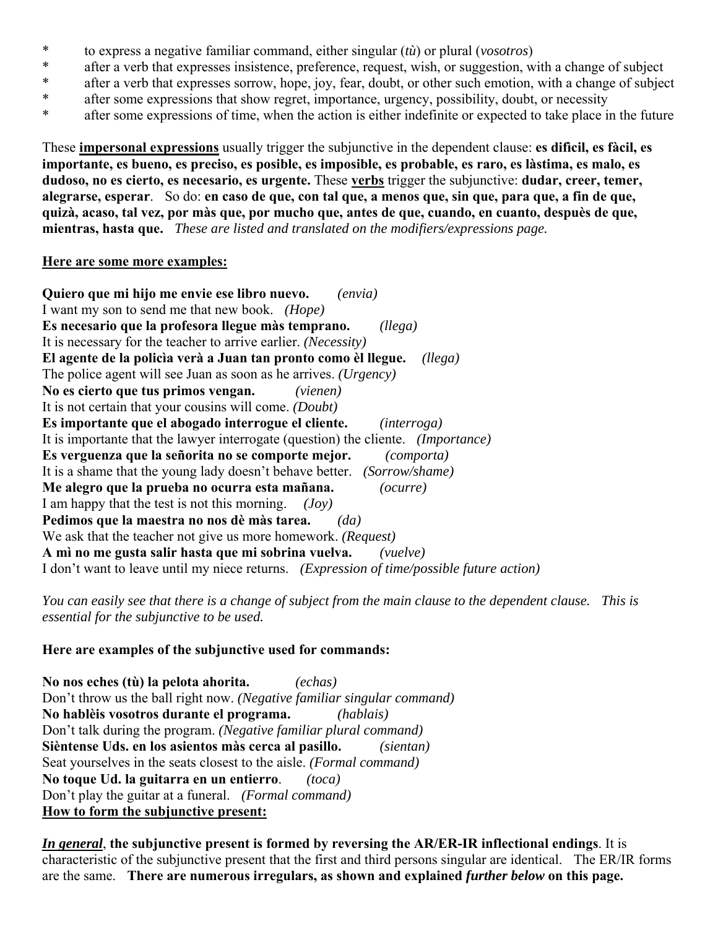- \* to express a negative familiar command, either singular (*tù*) or plural (*vosotros*)
- \* after a verb that expresses insistence, preference, request, wish, or suggestion, with a change of subject
- \* after a verb that expresses sorrow, hope, joy, fear, doubt, or other such emotion, with a change of subject
- \* after some expressions that show regret, importance, urgency, possibility, doubt, or necessity
- \* after some expressions of time, when the action is either indefinite or expected to take place in the future

These **impersonal expressions** usually trigger the subjunctive in the dependent clause: **es difìcil, es fàcil, es importante, es bueno, es preciso, es posible, es imposible, es probable, es raro, es làstima, es malo, es dudoso, no es cierto, es necesario, es urgente.** These **verbs** trigger the subjunctive: **dudar, creer, temer, alegrarse, esperar**. So do: **en caso de que, con tal que, a menos que, sin que, para que, a fin de que, quizà, acaso, tal vez, por màs que, por mucho que, antes de que, cuando, en cuanto, despuès de que, mientras, hasta que.** *These are listed and translated on the modifiers/expressions page.*

#### **Here are some more examples:**

**Quiero que mi hijo me envie ese libro nuevo.** *(envia)* I want my son to send me that new book. *(Hope)* **Es necesario que la profesora llegue màs temprano.** *(llega)* It is necessary for the teacher to arrive earlier. *(Necessity)* **El agente de la policìa verà a Juan tan pronto como èl llegue.** *(llega)* The police agent will see Juan as soon as he arrives. *(Urgency)* **No es cierto que tus primos vengan.** *(vienen)* It is not certain that your cousins will come. *(Doubt)* **Es importante que el abogado interrogue el cliente.** *(interroga)* It is importante that the lawyer interrogate (question) the cliente. *(Importance)* **Es verguenza que la señorita no se comporte mejor.** *(comporta)* It is a shame that the young lady doesn't behave better. *(Sorrow/shame)* **Me alegro que la prueba no ocurra esta mañana.** *(ocurre)* I am happy that the test is not this morning. *(Joy)* **Pedimos que la maestra no nos dè màs tarea.** *(da)* We ask that the teacher not give us more homework. *(Request)* **A mì no me gusta salir hasta que mi sobrina vuelva.** *(vuelve)* I don't want to leave until my niece returns. *(Expression of time/possible future action)*

*You can easily see that there is a change of subject from the main clause to the dependent clause. This is essential for the subjunctive to be used.*

## **Here are examples of the subjunctive used for commands:**

**No nos eches (tù) la pelota ahorita.** *(echas)* Don't throw us the ball right now. *(Negative familiar singular command)* **No hablèis vosotros durante el programa.** *(hablais)* Don't talk during the program. *(Negative familiar plural command)* **Sièntense Uds. en los asientos màs cerca al pasillo.** *(sientan)* Seat yourselves in the seats closest to the aisle. *(Formal command)* **No toque Ud. la guitarra en un entierro**. *(toca)* Don't play the guitar at a funeral. *(Formal command)* **How to form the subjunctive present:**

*In general*, **the subjunctive present is formed by reversing the AR/ER-IR inflectional endings**. It is characteristic of the subjunctive present that the first and third persons singular are identical. The ER/IR forms are the same. **There are numerous irregulars, as shown and explained** *further below* **on this page.**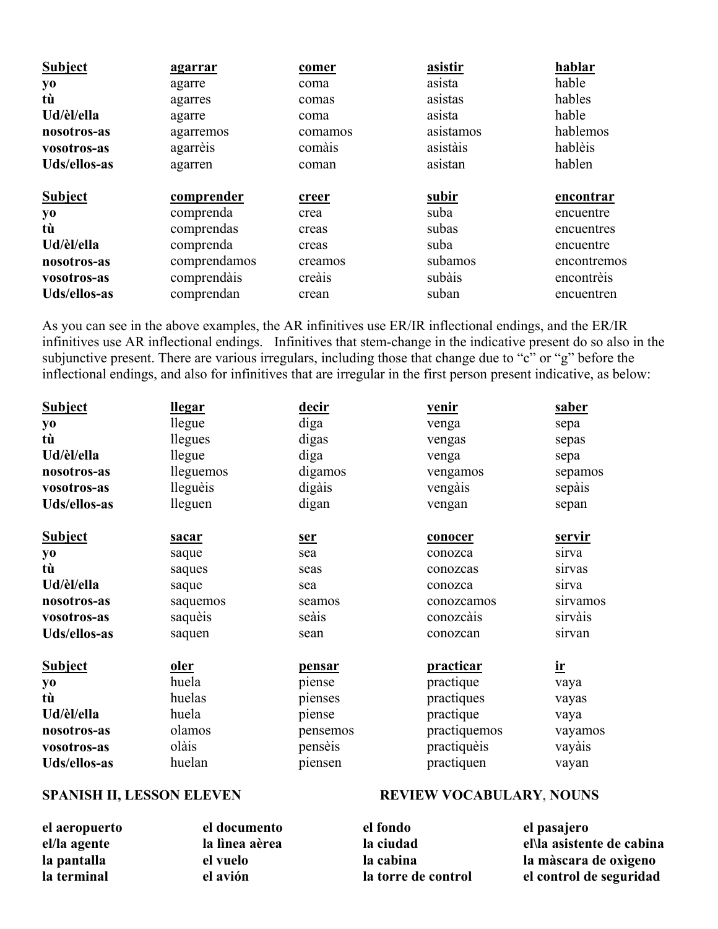| <b>Subject</b> | <u>agarrar</u> | comer   | asistir   | hablar      |
|----------------|----------------|---------|-----------|-------------|
| yo             | agarre         | coma    | asista    | hable       |
| tù             | agarres        | comas   | asistas   | hables      |
| Ud/èl/ella     | agarre         | coma    | asista    | hable       |
| nosotros-as    | agarremos      | comamos | asistamos | hablemos    |
| vosotros-as    | agarrèis       | comàis  | asistàis  | hablèis     |
| Uds/ellos-as   | agarren        | coman   | asistan   | hablen      |
|                |                |         |           |             |
| <b>Subject</b> | comprender     | creer   | subir     | encontrar   |
| yo             | comprenda      | crea    | suba      | encuentre   |
| tù             | comprendas     | creas   | subas     | encuentres  |
| Ud/èl/ella     | comprenda      | creas   | suba      | encuentre   |
| nosotros-as    | comprendamos   | creamos | subamos   | encontremos |
| vosotros-as    | comprendàis    | creais  | subàis    | encontrèis  |

As you can see in the above examples, the AR infinitives use ER/IR inflectional endings, and the ER/IR infinitives use AR inflectional endings. Infinitives that stem-change in the indicative present do so also in the subjunctive present. There are various irregulars, including those that change due to "c" or "g" before the inflectional endings, and also for infinitives that are irregular in the first person present indicative, as below:

| <b>Subject</b> | <u>llegar</u> | <u>decir</u> | <u>venir</u>     | <u>saber</u>            |
|----------------|---------------|--------------|------------------|-------------------------|
| yо             | llegue        | diga         | venga            | sepa                    |
| tù             | llegues       | digas        | vengas           | sepas                   |
| Ud/èl/ella     | llegue        | diga         | venga            | sepa                    |
| nosotros-as    | lleguemos     | digamos      | vengamos         | sepamos                 |
| vosotros-as    | lleguèis      | digàis       | vengàis          | sepàis                  |
| Uds/ellos-as   | lleguen       | digan        | vengan           | sepan                   |
| <b>Subject</b> | sacar         | <u>ser</u>   | conocer          | <u>servir</u>           |
| yo             | saque         | sea          | conozca          | sirva                   |
| tù             | saques        | seas         | conozcas         | sirvas                  |
| Ud/èl/ella     | saque         | sea          | conozca          | sirva                   |
| nosotros-as    | saquemos      | seamos       | conozcamos       | sirvamos                |
| vosotros-as    | saquèis       | seàis        | conozcàis        | sirvàis                 |
| Uds/ellos-as   | saquen        | sean         | conozcan         | sirvan                  |
| <b>Subject</b> | <u>oler</u>   | pensar       | <b>practicar</b> | $\underline{\text{ir}}$ |
| yo             | huela         | piense       | practique        | vaya                    |
| tù             | huelas        | pienses      | practiques       | vayas                   |
| Ud/èl/ella     | huela         | piense       | practique        | vaya                    |
| nosotros-as    | olamos        | pensemos     | practiquemos     | vayamos                 |
| vosotros-as    | olàis         | pensèis      | practiquèis      | vayàis                  |
| Uds/ellos-as   | huelan        | piensen      | practiquen       | vayan                   |

#### **SPANISH II, LESSON ELEVEN**

|  |  | <b>REVIEW VOCABULARY, NOUNS</b> |
|--|--|---------------------------------|
|--|--|---------------------------------|

| el aeropuerto | el documento   | el fondo            | el pasajero               |
|---------------|----------------|---------------------|---------------------------|
| el/la agente  | la lìnea aèrea | la ciudad           | el\la asistente de cabina |
| la pantalla   | el vuelo       | la cabina           | la màscara de oxigeno     |
| la terminal   | el avión       | la torre de control | el control de seguridad   |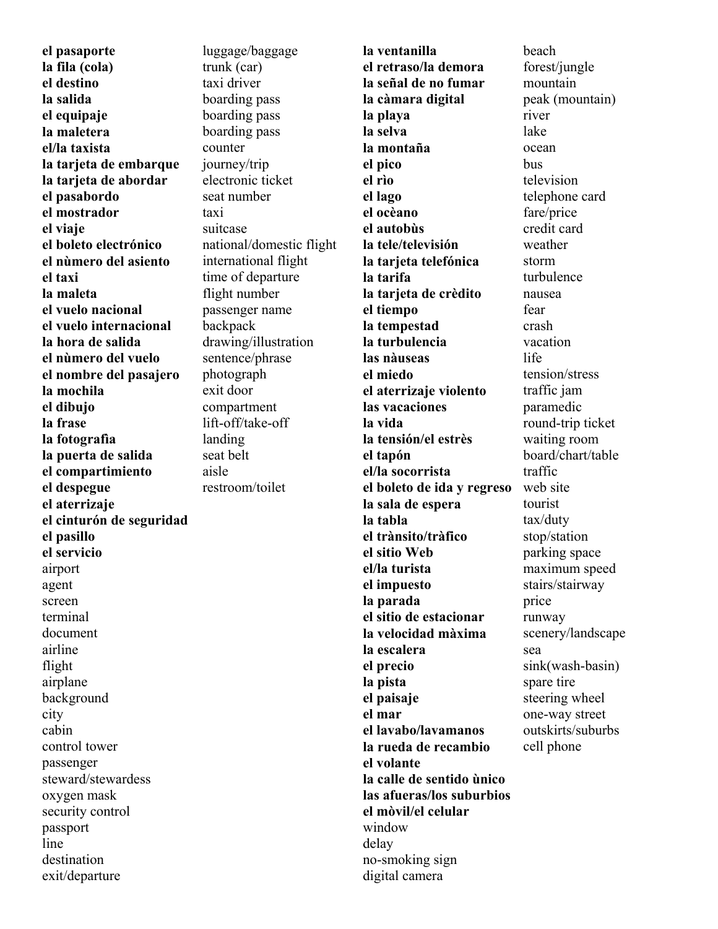**el pasaporte la fila (cola) el destino la salida el equipaje la maletera el/la taxista la tarjeta de embarque la tarjeta de abordar el pasabordo el mostrador el viaje el boleto electrónico el nùmero del asiento el taxi la maleta el vuelo nacional el vuelo internacional la hora de salida el nùmero del vuelo el nombre del pasajero la mochila el dibujo la frase la fotografìa la puerta de salida el compartimiento el despegue el aterrizaje el cinturón de seguridad el pasillo el servicio** airport agent screen terminal document airline flight airplane background city cabin control tower passenger steward/stewardess oxygen mask security control passport line destination exit/departure

luggage/baggage trunk (car) taxi driver boarding pass boarding pass boarding pass counter journey/trip electronic ticket seat number taxi suitcase national/domestic flight international flight time of departure flight number passenger name backpack drawing/illustration sentence/phrase photograph exit door compartment lift-off/take-off landing seat belt aisle restroom/toilet

**la ventanilla el retraso/la demora la señal de no fumar la càmara digital la playa la selva la montaña el pico el rìo el lago el ocèano el autobùs la tele/televisión la tarjeta telefónica la tarifa la tarjeta de crèdito el tiempo la tempestad la turbulencia las nàuseas el miedo el aterrizaje violento las vacaciones la vida la tensión/el estrès el tapón el/la socorrista el boleto de ida y regreso la sala de espera la tabla el trànsito/tràfico el sitio Web el/la turista el impuesto la parada el sitio de estacionar la velocidad màxima la escalera el precio la pista el paisaje el mar el lavabo/lavamanos la rueda de recambio el volante la calle de sentido ùnico las afueras/los suburbios el mòvil/el celular** window delay no-smoking sign digital camera

beach forest/jungle mountain peak (mountain) river lake ocean bus television telephone card fare/price credit card weather storm turbulence nausea fear crash vacation life tension/stress traffic jam paramedic round-trip ticket waiting room board/chart/table traffic web site tourist tax/duty stop/station parking space maximum speed stairs/stairway price runway scenery/landscape sea sink(wash-basin) spare tire steering wheel one-way street outskirts/suburbs cell phone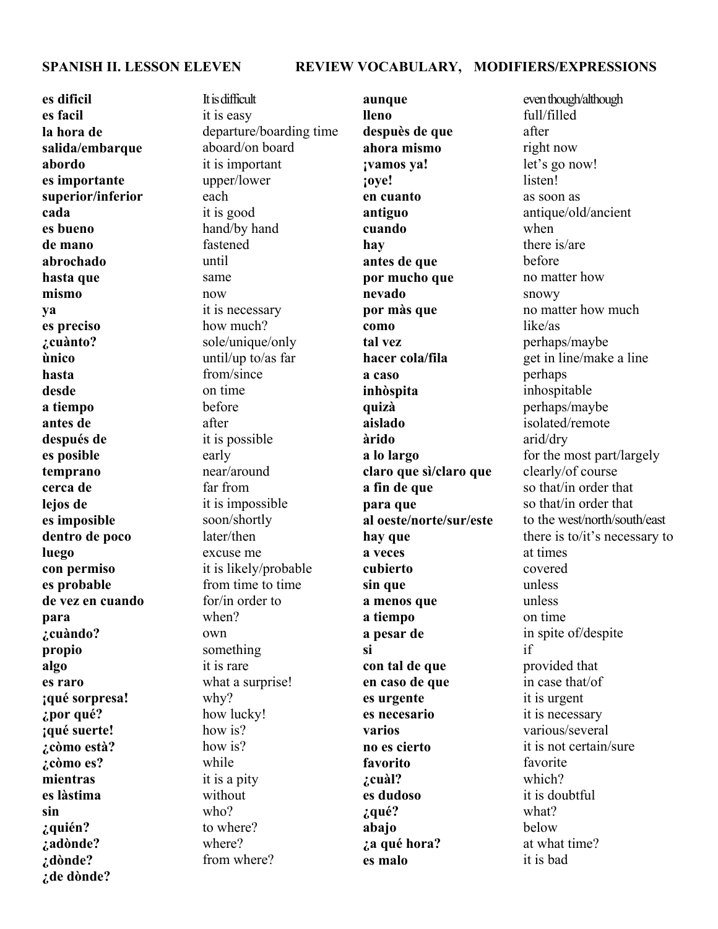#### **SPANISH II. LESSON ELEVEN REVIEW VOCABULARY, MODIFIERS/EXPRESSIONS**

**es dificil es facil la hora de salida/embarque abordo es importante superior/inferior cada es bueno de mano abrochado hasta que mismo ya es preciso ¿cuànto? ùnico hasta desde a tiempo antes de después de es posible temprano cerca de lejos de es imposible dentro de poco luego con permiso es probable de vez en cuando para ¿cuàndo? propio algo es raro ¡qué sorpresa! ¿por qué? ¡qué suerte! ¿còmo està? ¿còmo es? mientras es làstima sin ¿quién? ¿adònde? ¿dònde? ¿de dònde?**

It is difficult it is easy departure/boarding time aboard/on board it is important upper/lower each it is good hand/by hand fastened until same now it is necessary how much? sole/unique/only until/up to/as far from/since on time before after it is possible early near/around far from it is impossible soon/shortly later/then excuse me it is likely/probable from time to time for/in order to when? own something it is rare what a surprise! why? how lucky! how is? how is? while it is a pity without who? to where? where? from where?

**aunque lleno despuès de que ahora mismo ¡vamos ya! ¡oye! en cuanto antiguo cuando hay antes de que por mucho que nevado por màs que como tal vez hacer cola/fila a caso inhòspita quizà aislado àrido a lo largo claro que sì/claro que a fin de que para que al oeste/norte/sur/este hay que a veces cubierto sin que a menos que a tiempo a pesar de si con tal de que en caso de que es urgente es necesario varios no es cierto favorito ¿cuàl? es dudoso ¿qué? abajo ¿a qué hora? es malo**

even though/although full/filled after right now let's go now! listen! as soon as antique/old/ancient when there is/are before no matter how snowy no matter how much like/as perhaps/maybe get in line/make a line perhaps inhospitable perhaps/maybe isolated/remote arid/dry for the most part/largely clearly/of course so that/in order that so that/in order that to the west/north/south/east there is to/it's necessary to at times covered unless unless on time in spite of/despite if provided that in case that/of it is urgent it is necessary various/several it is not certain/sure favorite which? it is doubtful what? below at what time? it is bad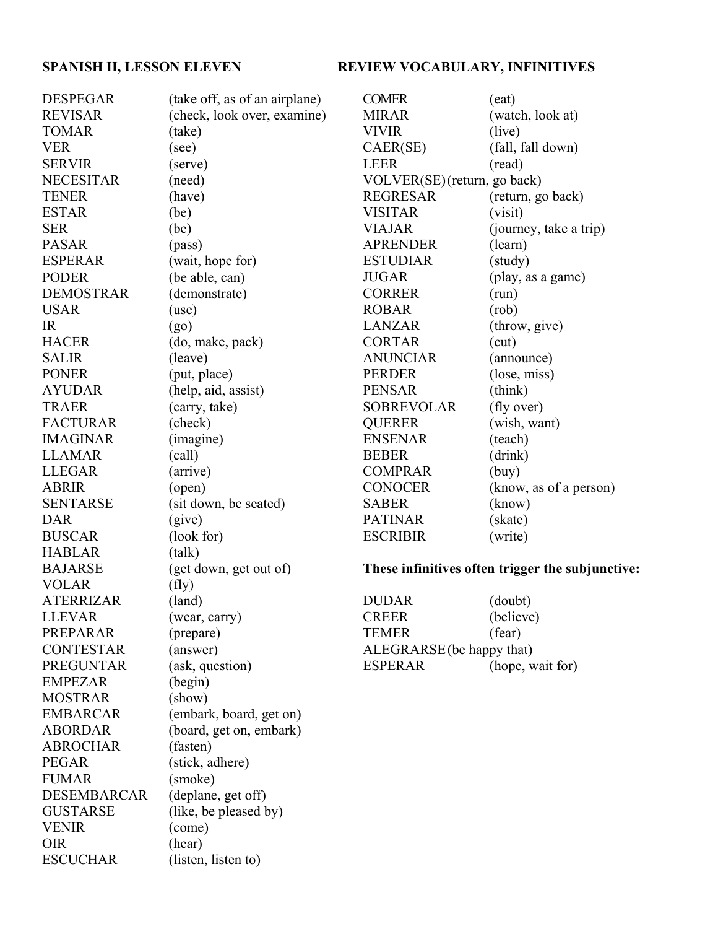# SPANISH II, LESSON ELEVEN REVIEW VOCABULARY, INFINITIVES

| (take off, as of an airplane) | <b>COMER</b>                                                                                                                                                                                                                                                                                                                                                                                                                                                                                                                                                                                                                                                              | (eat)                                                                                                                                                                                                                                                                                                                                                                                                                                                                                                                                             |
|-------------------------------|---------------------------------------------------------------------------------------------------------------------------------------------------------------------------------------------------------------------------------------------------------------------------------------------------------------------------------------------------------------------------------------------------------------------------------------------------------------------------------------------------------------------------------------------------------------------------------------------------------------------------------------------------------------------------|---------------------------------------------------------------------------------------------------------------------------------------------------------------------------------------------------------------------------------------------------------------------------------------------------------------------------------------------------------------------------------------------------------------------------------------------------------------------------------------------------------------------------------------------------|
| (check, look over, examine)   | <b>MIRAR</b>                                                                                                                                                                                                                                                                                                                                                                                                                                                                                                                                                                                                                                                              | (watch, look at)                                                                                                                                                                                                                                                                                                                                                                                                                                                                                                                                  |
| (take)                        | <b>VIVIR</b>                                                                                                                                                                                                                                                                                                                                                                                                                                                                                                                                                                                                                                                              | (live)                                                                                                                                                                                                                                                                                                                                                                                                                                                                                                                                            |
|                               | CAER(SE)                                                                                                                                                                                                                                                                                                                                                                                                                                                                                                                                                                                                                                                                  | (fall, fall down)                                                                                                                                                                                                                                                                                                                                                                                                                                                                                                                                 |
|                               | <b>LEER</b>                                                                                                                                                                                                                                                                                                                                                                                                                                                                                                                                                                                                                                                               | (read)                                                                                                                                                                                                                                                                                                                                                                                                                                                                                                                                            |
|                               |                                                                                                                                                                                                                                                                                                                                                                                                                                                                                                                                                                                                                                                                           |                                                                                                                                                                                                                                                                                                                                                                                                                                                                                                                                                   |
|                               |                                                                                                                                                                                                                                                                                                                                                                                                                                                                                                                                                                                                                                                                           | (return, go back)                                                                                                                                                                                                                                                                                                                                                                                                                                                                                                                                 |
|                               | <b>VISITAR</b>                                                                                                                                                                                                                                                                                                                                                                                                                                                                                                                                                                                                                                                            | (visit)                                                                                                                                                                                                                                                                                                                                                                                                                                                                                                                                           |
|                               | <b>VIAJAR</b>                                                                                                                                                                                                                                                                                                                                                                                                                                                                                                                                                                                                                                                             | (journey, take a trip)                                                                                                                                                                                                                                                                                                                                                                                                                                                                                                                            |
|                               |                                                                                                                                                                                                                                                                                                                                                                                                                                                                                                                                                                                                                                                                           | (learn)                                                                                                                                                                                                                                                                                                                                                                                                                                                                                                                                           |
|                               |                                                                                                                                                                                                                                                                                                                                                                                                                                                                                                                                                                                                                                                                           | (study)                                                                                                                                                                                                                                                                                                                                                                                                                                                                                                                                           |
|                               |                                                                                                                                                                                                                                                                                                                                                                                                                                                                                                                                                                                                                                                                           | (play, as a game)                                                                                                                                                                                                                                                                                                                                                                                                                                                                                                                                 |
|                               |                                                                                                                                                                                                                                                                                                                                                                                                                                                                                                                                                                                                                                                                           | (run)                                                                                                                                                                                                                                                                                                                                                                                                                                                                                                                                             |
|                               |                                                                                                                                                                                                                                                                                                                                                                                                                                                                                                                                                                                                                                                                           | (rob)                                                                                                                                                                                                                                                                                                                                                                                                                                                                                                                                             |
|                               |                                                                                                                                                                                                                                                                                                                                                                                                                                                                                                                                                                                                                                                                           | (throw, give)                                                                                                                                                                                                                                                                                                                                                                                                                                                                                                                                     |
|                               |                                                                                                                                                                                                                                                                                                                                                                                                                                                                                                                                                                                                                                                                           | (cut)                                                                                                                                                                                                                                                                                                                                                                                                                                                                                                                                             |
|                               |                                                                                                                                                                                                                                                                                                                                                                                                                                                                                                                                                                                                                                                                           | (announce)                                                                                                                                                                                                                                                                                                                                                                                                                                                                                                                                        |
|                               |                                                                                                                                                                                                                                                                                                                                                                                                                                                                                                                                                                                                                                                                           | (lose, miss)                                                                                                                                                                                                                                                                                                                                                                                                                                                                                                                                      |
|                               |                                                                                                                                                                                                                                                                                                                                                                                                                                                                                                                                                                                                                                                                           | (think)                                                                                                                                                                                                                                                                                                                                                                                                                                                                                                                                           |
|                               |                                                                                                                                                                                                                                                                                                                                                                                                                                                                                                                                                                                                                                                                           | (fly over)                                                                                                                                                                                                                                                                                                                                                                                                                                                                                                                                        |
|                               |                                                                                                                                                                                                                                                                                                                                                                                                                                                                                                                                                                                                                                                                           | (wish, want)                                                                                                                                                                                                                                                                                                                                                                                                                                                                                                                                      |
|                               |                                                                                                                                                                                                                                                                                                                                                                                                                                                                                                                                                                                                                                                                           | (teach)                                                                                                                                                                                                                                                                                                                                                                                                                                                                                                                                           |
|                               |                                                                                                                                                                                                                                                                                                                                                                                                                                                                                                                                                                                                                                                                           | (drink)                                                                                                                                                                                                                                                                                                                                                                                                                                                                                                                                           |
|                               |                                                                                                                                                                                                                                                                                                                                                                                                                                                                                                                                                                                                                                                                           | (buy)                                                                                                                                                                                                                                                                                                                                                                                                                                                                                                                                             |
|                               |                                                                                                                                                                                                                                                                                                                                                                                                                                                                                                                                                                                                                                                                           | (know, as of a person)                                                                                                                                                                                                                                                                                                                                                                                                                                                                                                                            |
|                               |                                                                                                                                                                                                                                                                                                                                                                                                                                                                                                                                                                                                                                                                           | (know)                                                                                                                                                                                                                                                                                                                                                                                                                                                                                                                                            |
|                               |                                                                                                                                                                                                                                                                                                                                                                                                                                                                                                                                                                                                                                                                           | (skate)                                                                                                                                                                                                                                                                                                                                                                                                                                                                                                                                           |
|                               |                                                                                                                                                                                                                                                                                                                                                                                                                                                                                                                                                                                                                                                                           | (write)                                                                                                                                                                                                                                                                                                                                                                                                                                                                                                                                           |
|                               |                                                                                                                                                                                                                                                                                                                                                                                                                                                                                                                                                                                                                                                                           |                                                                                                                                                                                                                                                                                                                                                                                                                                                                                                                                                   |
|                               |                                                                                                                                                                                                                                                                                                                                                                                                                                                                                                                                                                                                                                                                           |                                                                                                                                                                                                                                                                                                                                                                                                                                                                                                                                                   |
|                               |                                                                                                                                                                                                                                                                                                                                                                                                                                                                                                                                                                                                                                                                           |                                                                                                                                                                                                                                                                                                                                                                                                                                                                                                                                                   |
|                               |                                                                                                                                                                                                                                                                                                                                                                                                                                                                                                                                                                                                                                                                           | (doubt)                                                                                                                                                                                                                                                                                                                                                                                                                                                                                                                                           |
|                               |                                                                                                                                                                                                                                                                                                                                                                                                                                                                                                                                                                                                                                                                           | (believe)                                                                                                                                                                                                                                                                                                                                                                                                                                                                                                                                         |
|                               |                                                                                                                                                                                                                                                                                                                                                                                                                                                                                                                                                                                                                                                                           | (fear)                                                                                                                                                                                                                                                                                                                                                                                                                                                                                                                                            |
|                               |                                                                                                                                                                                                                                                                                                                                                                                                                                                                                                                                                                                                                                                                           |                                                                                                                                                                                                                                                                                                                                                                                                                                                                                                                                                   |
|                               |                                                                                                                                                                                                                                                                                                                                                                                                                                                                                                                                                                                                                                                                           |                                                                                                                                                                                                                                                                                                                                                                                                                                                                                                                                                   |
|                               |                                                                                                                                                                                                                                                                                                                                                                                                                                                                                                                                                                                                                                                                           | (hope, wait for)                                                                                                                                                                                                                                                                                                                                                                                                                                                                                                                                  |
|                               |                                                                                                                                                                                                                                                                                                                                                                                                                                                                                                                                                                                                                                                                           |                                                                                                                                                                                                                                                                                                                                                                                                                                                                                                                                                   |
|                               |                                                                                                                                                                                                                                                                                                                                                                                                                                                                                                                                                                                                                                                                           |                                                                                                                                                                                                                                                                                                                                                                                                                                                                                                                                                   |
|                               |                                                                                                                                                                                                                                                                                                                                                                                                                                                                                                                                                                                                                                                                           |                                                                                                                                                                                                                                                                                                                                                                                                                                                                                                                                                   |
|                               |                                                                                                                                                                                                                                                                                                                                                                                                                                                                                                                                                                                                                                                                           |                                                                                                                                                                                                                                                                                                                                                                                                                                                                                                                                                   |
|                               |                                                                                                                                                                                                                                                                                                                                                                                                                                                                                                                                                                                                                                                                           |                                                                                                                                                                                                                                                                                                                                                                                                                                                                                                                                                   |
|                               |                                                                                                                                                                                                                                                                                                                                                                                                                                                                                                                                                                                                                                                                           |                                                                                                                                                                                                                                                                                                                                                                                                                                                                                                                                                   |
|                               |                                                                                                                                                                                                                                                                                                                                                                                                                                                                                                                                                                                                                                                                           |                                                                                                                                                                                                                                                                                                                                                                                                                                                                                                                                                   |
|                               |                                                                                                                                                                                                                                                                                                                                                                                                                                                                                                                                                                                                                                                                           |                                                                                                                                                                                                                                                                                                                                                                                                                                                                                                                                                   |
|                               |                                                                                                                                                                                                                                                                                                                                                                                                                                                                                                                                                                                                                                                                           |                                                                                                                                                                                                                                                                                                                                                                                                                                                                                                                                                   |
|                               |                                                                                                                                                                                                                                                                                                                                                                                                                                                                                                                                                                                                                                                                           |                                                                                                                                                                                                                                                                                                                                                                                                                                                                                                                                                   |
|                               |                                                                                                                                                                                                                                                                                                                                                                                                                                                                                                                                                                                                                                                                           |                                                                                                                                                                                                                                                                                                                                                                                                                                                                                                                                                   |
|                               |                                                                                                                                                                                                                                                                                                                                                                                                                                                                                                                                                                                                                                                                           |                                                                                                                                                                                                                                                                                                                                                                                                                                                                                                                                                   |
|                               | (see)<br>(serve)<br>(need)<br>(have)<br>(be)<br>(be)<br>(pass)<br>(wait, hope for)<br>(be able, can)<br>(demonstrate)<br>(use)<br>(go)<br>(do, make, pack)<br>(leave)<br>(put, place)<br>(help, aid, assist)<br>(carry, take)<br>(check)<br>(imagine)<br>(call)<br>(arrive)<br>(open)<br>(sit down, be seated)<br>(give)<br>(look for)<br>(talk)<br>(get down, get out of)<br>(fly)<br>(land)<br>(wear, carry)<br>(prepare)<br>(answer)<br>(ask, question)<br>(begin)<br>(show)<br>(embark, board, get on)<br>(board, get on, embark)<br>(fasten)<br>(stick, adhere)<br>(smoke)<br>(deplane, get off)<br>(like, be pleased by)<br>(come)<br>(hear)<br>(listen, listen to) | VOLVER(SE) (return, go back)<br><b>REGRESAR</b><br><b>APRENDER</b><br><b>ESTUDIAR</b><br><b>JUGAR</b><br><b>CORRER</b><br><b>ROBAR</b><br><b>LANZAR</b><br><b>CORTAR</b><br><b>ANUNCIAR</b><br><b>PERDER</b><br><b>PENSAR</b><br><b>SOBREVOLAR</b><br><b>QUERER</b><br><b>ENSENAR</b><br><b>BEBER</b><br><b>COMPRAR</b><br><b>CONOCER</b><br><b>SABER</b><br><b>PATINAR</b><br><b>ESCRIBIR</b><br>These infinitives often trigger the subjunctive:<br><b>DUDAR</b><br><b>CREER</b><br><b>TEMER</b><br>ALEGRARSE (be happy that)<br><b>ESPERAR</b> |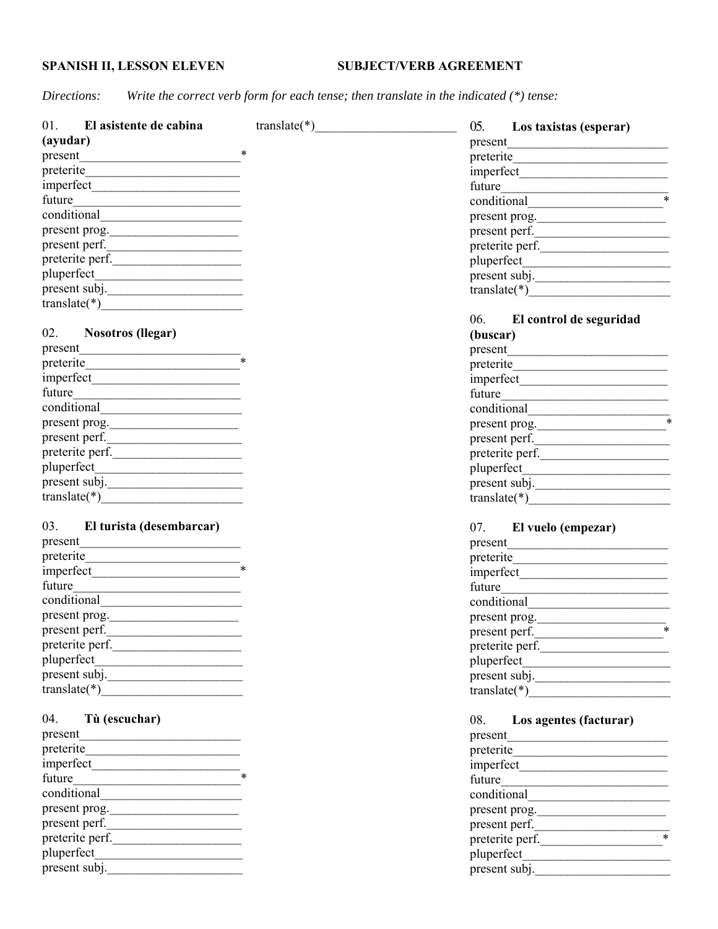## **SPANISH II, LESSON ELEVEN** SUBJECT/VERB AGREEMENT

*Directions: Write the correct verb form for each tense; then translate in the indicated (\*) tense:*

| 01. El asistente de cabina            | $translate(*)$ | 05. Los taxistas (esperar)              |
|---------------------------------------|----------------|-----------------------------------------|
| (ayudar)                              |                | present                                 |
|                                       |                |                                         |
| preterite                             |                |                                         |
|                                       |                | future                                  |
|                                       |                |                                         |
|                                       |                | present prog.                           |
| present prog.                         |                | $\frac{1}{2}$ present perf.             |
| present perf.                         |                | preterite perf.                         |
|                                       |                |                                         |
|                                       |                | present subj.                           |
| present subj.                         |                |                                         |
|                                       |                |                                         |
| 02. Nosotros (llegar)                 |                | 06. El control de seguridad<br>(buscar) |
| present                               |                |                                         |
| preterite                             |                |                                         |
| $\frac{1}{\text{imperfect}}$          |                |                                         |
|                                       |                |                                         |
|                                       |                |                                         |
|                                       |                |                                         |
| present prog.                         |                | present prog.                           |
| present perf.                         |                | present perf.                           |
| preterite perf.                       |                | preterite perf.                         |
|                                       |                |                                         |
| present subj.                         |                | present subj.                           |
| $translate(*)$                        |                |                                         |
| 03. El turista (desembarcar)          |                | 07. El vuelo (empezar)                  |
| present                               |                |                                         |
|                                       |                |                                         |
| imperfect                             |                |                                         |
|                                       |                |                                         |
| conditional <u>example</u>            |                |                                         |
| present prog.                         |                | present prog.                           |
| present perf.                         |                | present perf.                           |
| preterite perf.                       |                | preterite perf.                         |
|                                       |                |                                         |
|                                       |                | present subj.                           |
|                                       |                | $\text{translate}$ (*)                  |
| 04.<br>Tù (escuchar)                  |                | 08.<br>Los agentes (facturar)           |
|                                       |                |                                         |
|                                       |                | preterite                               |
| $\frac{1}{2}$ imperfect $\frac{1}{2}$ |                |                                         |
|                                       |                |                                         |
| conditional                           |                |                                         |
| present prog.                         |                | present prog.                           |
| present perf.                         |                |                                         |
| preterite perf.                       |                | present perf.                           |
|                                       |                | preterite perf.                         |
| present subj.                         |                | present subj.                           |
|                                       |                |                                         |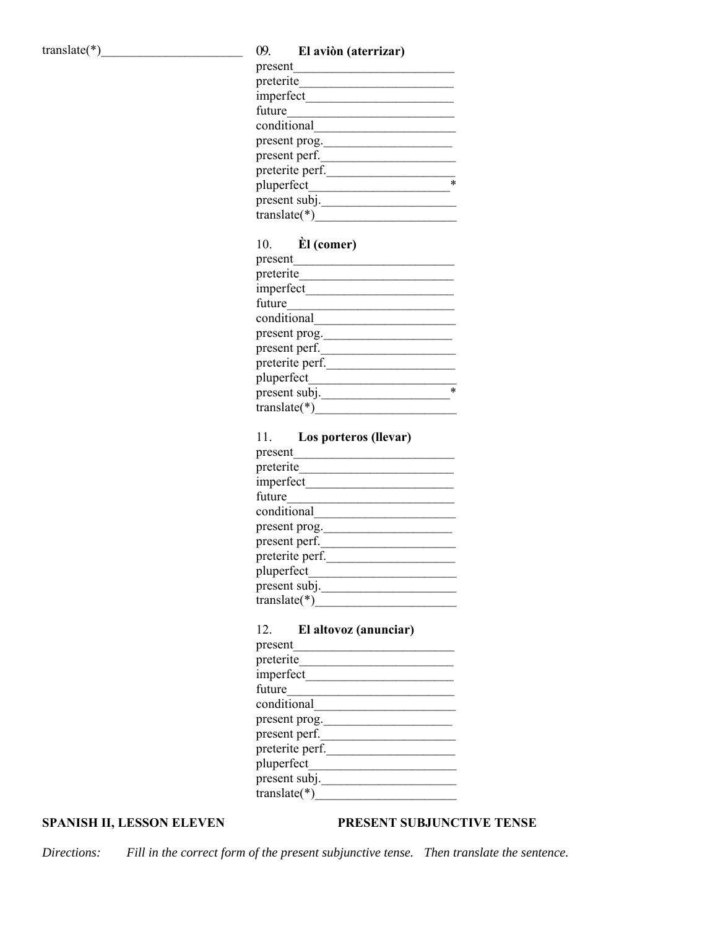#### translate(\*)\_\_\_\_\_\_\_\_\_\_\_\_\_\_\_\_\_\_\_\_\_\_ 09. **El aviòn (aterrizar)**

| present         |
|-----------------|
| preterite       |
| imperfect       |
| future          |
| conditional     |
| present prog.   |
| present perf.   |
| preterite perf. |
| pluperfect      |
| present subj.   |
| translate $(*)$ |

## 10. **Èl (comer)**

| present         |   |
|-----------------|---|
| preterite       |   |
| imperfect       |   |
| future          |   |
| conditional     |   |
| present prog.   |   |
| present perf.   |   |
| preterite perf. |   |
| pluperfect      |   |
| present subj.   | * |
| translate(*     |   |

#### 11. **Los porteros (llevar)**

| present         |
|-----------------|
| preterite       |
| imperfect       |
| future          |
| conditional     |
| present prog.   |
| present perf.   |
| preterite perf. |
| pluperfect      |
| present subj.   |
| translate(*)    |

#### 12. **El altovoz (anunciar)**

| present         |  |  |
|-----------------|--|--|
| preterite       |  |  |
| imperfect       |  |  |
| future          |  |  |
| conditional     |  |  |
| present prog.   |  |  |
| present perf.   |  |  |
| preterite perf. |  |  |
| pluperfect      |  |  |
| present subj.   |  |  |
| translate(*     |  |  |

#### **SPANISH II, LESSON ELEVEN PRESENT SUBJUNCTIVE TENSE**

*Directions: Fill in the correct form of the present subjunctive tense. Then translate the sentence.*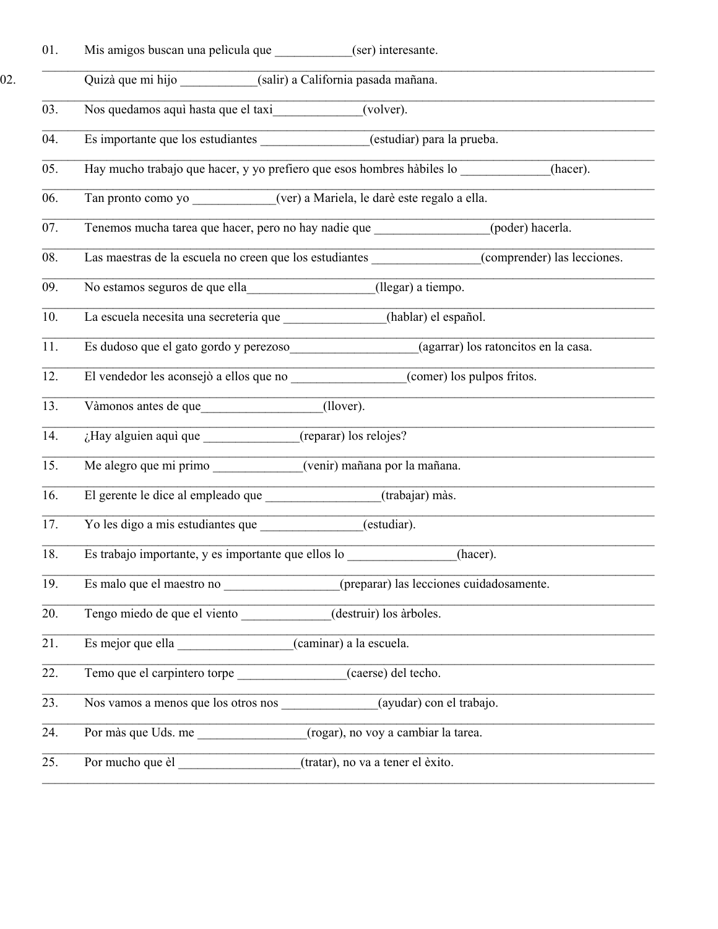| 01.               | Mis amigos buscan una pelicula que ___________(ser) interesante.                              |
|-------------------|-----------------------------------------------------------------------------------------------|
|                   | Quizà que mi hijo ___________(salir) a California pasada mañana.                              |
| 03.               | Nos quedamos aquì hasta que el taxi (volver).                                                 |
| 04.               | Es importante que los estudiantes _______________(estudiar) para la prueba.                   |
| 05.               | Hay mucho trabajo que hacer, y yo prefiero que esos hombres hàbiles lo __________<br>(hacer). |
| 06.               | Tan pronto como yo ____________(ver) a Mariela, le darè este regalo a ella.                   |
| 07.               | Tenemos mucha tarea que hacer, pero no hay nadie que ________________(poder) hacerla.         |
| 08.               | Las maestras de la escuela no creen que los estudiantes<br>(comprender) las lecciones.        |
| 09.               | No estamos seguros de que ella<br>(llegar) a tiempo.                                          |
| 10.               | La escuela necesita una secreteria que (hablar) el español.                                   |
| 11.               | Es dudoso que el gato gordo y perezoso (agarrar) los ratoncitos en la casa.                   |
| 12.               | El vendedor les aconsejò a ellos que no ____________________(comer) los pulpos fritos.        |
| 13.               | Vàmonos antes de que<br>(llover).                                                             |
| 14.               | ¿Hay alguien aquì que ______________(reparar) los relojes?                                    |
| 15.               | Me alegro que mi primo (venir) mañana por la mañana.                                          |
| 16.               | (trabajar) màs.                                                                               |
| 17.               | $\overline{\text{(estudiar)}}$ .<br>Yo les digo a mis estudiantes que                         |
| 18.               | Es trabajo importante, y es importante que ellos lo ____________________________<br>(hacer).  |
| 19.               | (preparar) las lecciones cuidadosamente.<br>Es malo que el maestro no                         |
| $\overline{20}$ . | Tengo miedo de que el viento ____________(destruir) los àrboles.                              |
| $\overline{21}$ . | Es mejor que ella ______________________(caminar) a la escuela.                               |
| 22.               | Temo que el carpintero torpe (caerse) del techo.                                              |
| 23.               | (ayudar) con el trabajo.<br>Nos vamos a menos que los otros nos                               |
| 24.               | (rogar), no voy a cambiar la tarea.<br>Por màs que Uds. me                                    |
| 25.               | (tratar), no va a tener el èxito.                                                             |

02.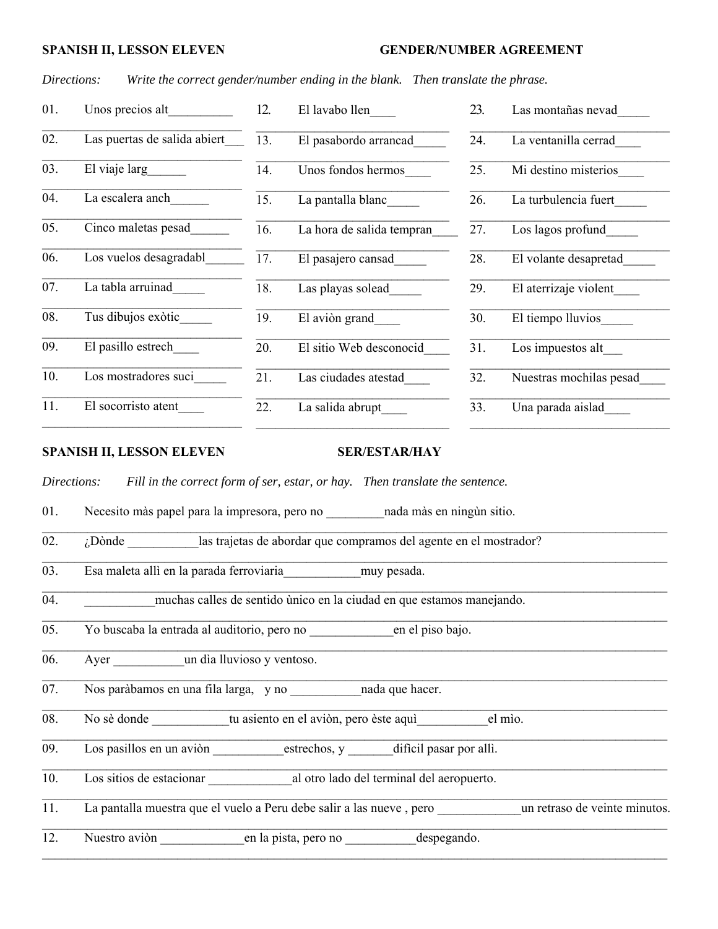#### **SPANISH II, LESSON ELEVEN GENDER/NUMBER AGREEMENT**

*Directions: Write the correct gender/number ending in the blank. Then translate the phrase.*

| 01. | Unos precios alt                 | 12. | El lavabo llen            | 23. | Las montañas nevad      |
|-----|----------------------------------|-----|---------------------------|-----|-------------------------|
| 02. | Las puertas de salida abiert     | 13. | El pasabordo arrancad     | 24. | La ventanilla cerrad    |
| 03. | El viaje larg                    | 14. | Unos fondos hermos        | 25. | Mi destino misterios    |
| 04. | La escalera anch                 | 15. | La pantalla blanc         | 26. | La turbulencia fuert    |
| 05. | Cinco maletas pesad              | 16. | La hora de salida tempran | 27. | Los lagos profund       |
| 06. | Los vuelos desagradabl           | 17. | El pasajero cansad        | 28. | El volante desapretad   |
| 07. | La tabla arruinad                | 18. | Las playas solead         | 29. | El aterrizaje violent   |
| 08. | Tus dibujos exòtic               | 19. | El avion grand            | 30. | El tiempo lluvios       |
| 09. | El pasillo estrech               | 20. | El sitio Web desconocid   | 31. | Los impuestos alt___    |
| 10. | Los mostradores suci             | 21. | Las ciudades atestad      | 32. | Nuestras mochilas pesad |
| 11. | El socorristo atent              | 22. | La salida abrupt          | 33. | Una parada aislad       |
|     | <b>SPANISH II, LESSON ELEVEN</b> |     | <b>SER/ESTAR/HAY</b>      |     |                         |

 $\_$  , and the contribution of the contribution of the contribution of the contribution of the contribution of  $\mathcal{L}_\text{max}$ 

 $\mathcal{L}_\mathcal{L} = \mathcal{L}_\mathcal{L} = \mathcal{L}_\mathcal{L} = \mathcal{L}_\mathcal{L} = \mathcal{L}_\mathcal{L} = \mathcal{L}_\mathcal{L} = \mathcal{L}_\mathcal{L} = \mathcal{L}_\mathcal{L} = \mathcal{L}_\mathcal{L} = \mathcal{L}_\mathcal{L} = \mathcal{L}_\mathcal{L} = \mathcal{L}_\mathcal{L} = \mathcal{L}_\mathcal{L} = \mathcal{L}_\mathcal{L} = \mathcal{L}_\mathcal{L} = \mathcal{L}_\mathcal{L} = \mathcal{L}_\mathcal{L}$ 

 $\_$  , and the contribution of the contribution of the contribution of the contribution of the contribution of the contribution of the contribution of the contribution of the contribution of the contribution of the contrib

 $\mathcal{L}_\mathcal{L} = \mathcal{L}_\mathcal{L} = \mathcal{L}_\mathcal{L} = \mathcal{L}_\mathcal{L} = \mathcal{L}_\mathcal{L} = \mathcal{L}_\mathcal{L} = \mathcal{L}_\mathcal{L} = \mathcal{L}_\mathcal{L} = \mathcal{L}_\mathcal{L} = \mathcal{L}_\mathcal{L} = \mathcal{L}_\mathcal{L} = \mathcal{L}_\mathcal{L} = \mathcal{L}_\mathcal{L} = \mathcal{L}_\mathcal{L} = \mathcal{L}_\mathcal{L} = \mathcal{L}_\mathcal{L} = \mathcal{L}_\mathcal{L}$ 

 $\_$  , and the contribution of the contribution of the contribution of the contribution of the contribution of  $\mathcal{L}_\text{max}$ 

 $\mathcal{L}_\mathcal{L} = \mathcal{L}_\mathcal{L} = \mathcal{L}_\mathcal{L} = \mathcal{L}_\mathcal{L} = \mathcal{L}_\mathcal{L} = \mathcal{L}_\mathcal{L} = \mathcal{L}_\mathcal{L} = \mathcal{L}_\mathcal{L} = \mathcal{L}_\mathcal{L} = \mathcal{L}_\mathcal{L} = \mathcal{L}_\mathcal{L} = \mathcal{L}_\mathcal{L} = \mathcal{L}_\mathcal{L} = \mathcal{L}_\mathcal{L} = \mathcal{L}_\mathcal{L} = \mathcal{L}_\mathcal{L} = \mathcal{L}_\mathcal{L}$ 

 $\mathcal{L}_\mathcal{L} = \mathcal{L}_\mathcal{L} = \mathcal{L}_\mathcal{L} = \mathcal{L}_\mathcal{L} = \mathcal{L}_\mathcal{L} = \mathcal{L}_\mathcal{L} = \mathcal{L}_\mathcal{L} = \mathcal{L}_\mathcal{L} = \mathcal{L}_\mathcal{L} = \mathcal{L}_\mathcal{L} = \mathcal{L}_\mathcal{L} = \mathcal{L}_\mathcal{L} = \mathcal{L}_\mathcal{L} = \mathcal{L}_\mathcal{L} = \mathcal{L}_\mathcal{L} = \mathcal{L}_\mathcal{L} = \mathcal{L}_\mathcal{L}$ 

 $\mathcal{L}_\mathcal{L} = \mathcal{L}_\mathcal{L} = \mathcal{L}_\mathcal{L} = \mathcal{L}_\mathcal{L} = \mathcal{L}_\mathcal{L} = \mathcal{L}_\mathcal{L} = \mathcal{L}_\mathcal{L} = \mathcal{L}_\mathcal{L} = \mathcal{L}_\mathcal{L} = \mathcal{L}_\mathcal{L} = \mathcal{L}_\mathcal{L} = \mathcal{L}_\mathcal{L} = \mathcal{L}_\mathcal{L} = \mathcal{L}_\mathcal{L} = \mathcal{L}_\mathcal{L} = \mathcal{L}_\mathcal{L} = \mathcal{L}_\mathcal{L}$ 

 $\mathcal{L}_\mathcal{L} = \mathcal{L}_\mathcal{L} = \mathcal{L}_\mathcal{L} = \mathcal{L}_\mathcal{L} = \mathcal{L}_\mathcal{L} = \mathcal{L}_\mathcal{L} = \mathcal{L}_\mathcal{L} = \mathcal{L}_\mathcal{L} = \mathcal{L}_\mathcal{L} = \mathcal{L}_\mathcal{L} = \mathcal{L}_\mathcal{L} = \mathcal{L}_\mathcal{L} = \mathcal{L}_\mathcal{L} = \mathcal{L}_\mathcal{L} = \mathcal{L}_\mathcal{L} = \mathcal{L}_\mathcal{L} = \mathcal{L}_\mathcal{L}$ 

 $\mathcal{L}_\mathcal{L} = \mathcal{L}_\mathcal{L} = \mathcal{L}_\mathcal{L} = \mathcal{L}_\mathcal{L} = \mathcal{L}_\mathcal{L} = \mathcal{L}_\mathcal{L} = \mathcal{L}_\mathcal{L} = \mathcal{L}_\mathcal{L} = \mathcal{L}_\mathcal{L} = \mathcal{L}_\mathcal{L} = \mathcal{L}_\mathcal{L} = \mathcal{L}_\mathcal{L} = \mathcal{L}_\mathcal{L} = \mathcal{L}_\mathcal{L} = \mathcal{L}_\mathcal{L} = \mathcal{L}_\mathcal{L} = \mathcal{L}_\mathcal{L}$ 

 $\mathcal{L}_\mathcal{L} = \mathcal{L}_\mathcal{L} = \mathcal{L}_\mathcal{L} = \mathcal{L}_\mathcal{L} = \mathcal{L}_\mathcal{L} = \mathcal{L}_\mathcal{L} = \mathcal{L}_\mathcal{L} = \mathcal{L}_\mathcal{L} = \mathcal{L}_\mathcal{L} = \mathcal{L}_\mathcal{L} = \mathcal{L}_\mathcal{L} = \mathcal{L}_\mathcal{L} = \mathcal{L}_\mathcal{L} = \mathcal{L}_\mathcal{L} = \mathcal{L}_\mathcal{L} = \mathcal{L}_\mathcal{L} = \mathcal{L}_\mathcal{L}$ 

*Directions: Fill in the correct form of ser, estar, or hay. Then translate the sentence.*

01. Necesito màs papel para la impresora, pero no contra mada màs en ningùn sitio.

| 02. | <i>i</i> Dònde |  | las trajetas de abordar que compramos del agente en el mostrador? |  |
|-----|----------------|--|-------------------------------------------------------------------|--|
|     |                |  |                                                                   |  |

03. Esa maleta allì en la parada ferroviaria\_\_\_\_\_\_\_\_\_\_\_\_muy pesada.

04. \_\_\_\_\_\_\_\_\_\_\_muchas calles de sentido ùnico en la ciudad en que estamos manejando.

05. Yo buscaba la entrada al auditorio, pero no concelente en el piso bajo.

06. Ayer un dìa lluvioso y ventoso.

07. Nos paràbamos en una fila larga, y no hada que hacer.

08. No sè donde tu asiento en el aviòn, pero èste aquì el mìo.

09. Los pasillos en un aviòn estrechos, y difìcil pasar por allì.

10. Los sitios de estacionar \_\_\_\_\_\_\_\_\_\_\_\_\_al otro lado del terminal del aeropuerto.

11. La pantalla muestra que el vuelo a Peru debe salir a las nueve, pero un retraso de veinte minutos.

12. Nuestro aviòn en la pista, pero no despegando.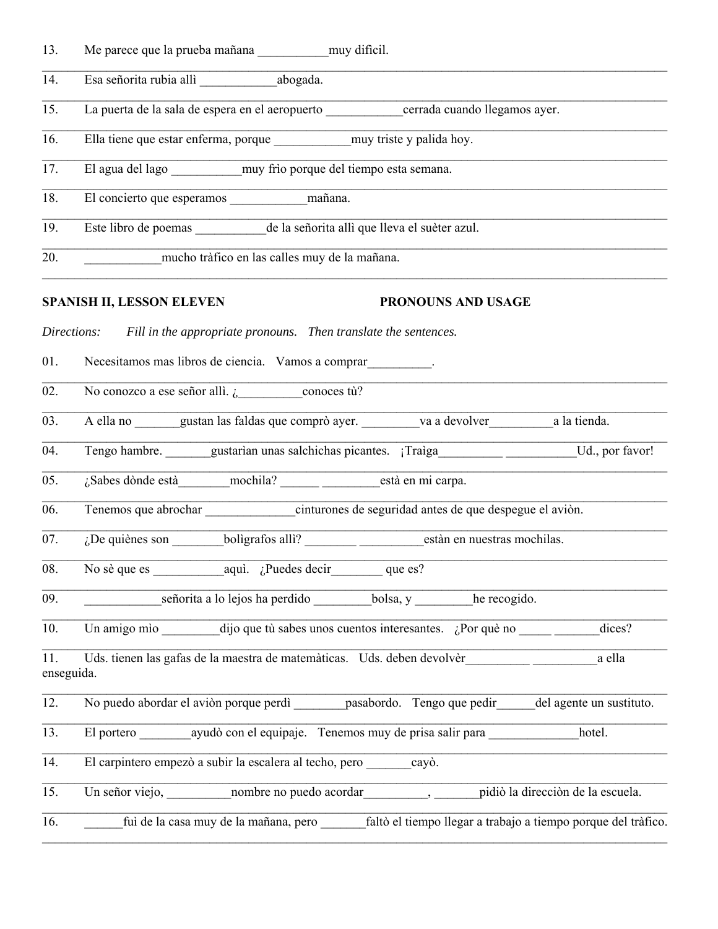| 13.                                                                                                    | Me parece que la prueba mañana ___________ muy dificil.                                                     |  |  |  |  |
|--------------------------------------------------------------------------------------------------------|-------------------------------------------------------------------------------------------------------------|--|--|--|--|
| 14.                                                                                                    | Esa señorita rubia allì ____________________abogada.                                                        |  |  |  |  |
| 15.                                                                                                    | La puerta de la sala de espera en el aeropuerto ____________cerrada cuando llegamos ayer.                   |  |  |  |  |
| 16.                                                                                                    | Ella tiene que estar enferma, porque ____________ muy triste y palida hoy.                                  |  |  |  |  |
| 17.                                                                                                    | El agua del lago ___________ muy frìo porque del tiempo esta semana.                                        |  |  |  |  |
| 18.                                                                                                    |                                                                                                             |  |  |  |  |
| 19.                                                                                                    | Este libro de poemas ___________ de la señorita allì que lleva el suèter azul.                              |  |  |  |  |
| 20.                                                                                                    | mucho tràfico en las calles muy de la mañana.                                                               |  |  |  |  |
|                                                                                                        | <b>SPANISH II, LESSON ELEVEN</b><br><b>PRONOUNS AND USAGE</b>                                               |  |  |  |  |
| Directions:                                                                                            | Fill in the appropriate pronouns. Then translate the sentences.                                             |  |  |  |  |
| 01.                                                                                                    | Necesitamos mas libros de ciencia. Vamos a comprar                                                          |  |  |  |  |
| 02.                                                                                                    | No conozco a ese señor allì. $\frac{1}{6}$ conoces tù?                                                      |  |  |  |  |
| 03.                                                                                                    | A ella no _______gustan las faldas que comprò ayer. _________va a devolver_______________a la tienda.       |  |  |  |  |
| 04.                                                                                                    | Tengo hambre. _______gustarian unas salchichas picantes. [Traiga____________________________Ud., por favor! |  |  |  |  |
| 05.                                                                                                    | $iSabes$ dònde està mochila? $\qquad$ està en mi carpa.                                                     |  |  |  |  |
| 06.                                                                                                    | Tenemos que abrochar cinturones de seguridad antes de que despegue el aviòn.                                |  |  |  |  |
| 07.                                                                                                    | estàn en nuestras mochilas.                                                                                 |  |  |  |  |
| $\overline{08}$ .                                                                                      | No sè que es $aqui.$ ¿Puedes decir que es?                                                                  |  |  |  |  |
| 09.                                                                                                    | señorita a lo lejos ha perdido ___________bolsa, y __________he recogido.                                   |  |  |  |  |
| 10.                                                                                                    | Un amigo mìo dijo que tù sabes unos cuentos interesantes. ¿Por què no<br>dices?                             |  |  |  |  |
| Uds. tienen las gafas de la maestra de matemàticas. Uds. deben devolvèr<br>a ella<br>11.<br>enseguida. |                                                                                                             |  |  |  |  |
| 12.                                                                                                    | No puedo abordar el aviòn porque perdì pasabordo. Tengo que pedir del agente un sustituto.                  |  |  |  |  |
| 13.                                                                                                    | El portero __________ ayudò con el equipaje. Tenemos muy de prisa salir para<br>hotel.                      |  |  |  |  |
| 14.                                                                                                    | El carpintero empezò a subir la escalera al techo, pero cayò.                                               |  |  |  |  |
| 15.                                                                                                    |                                                                                                             |  |  |  |  |
| 16.                                                                                                    | fuì de la casa muy de la mañana, pero faltò el tiempo llegar a trabajo a tiempo porque del tràfico.         |  |  |  |  |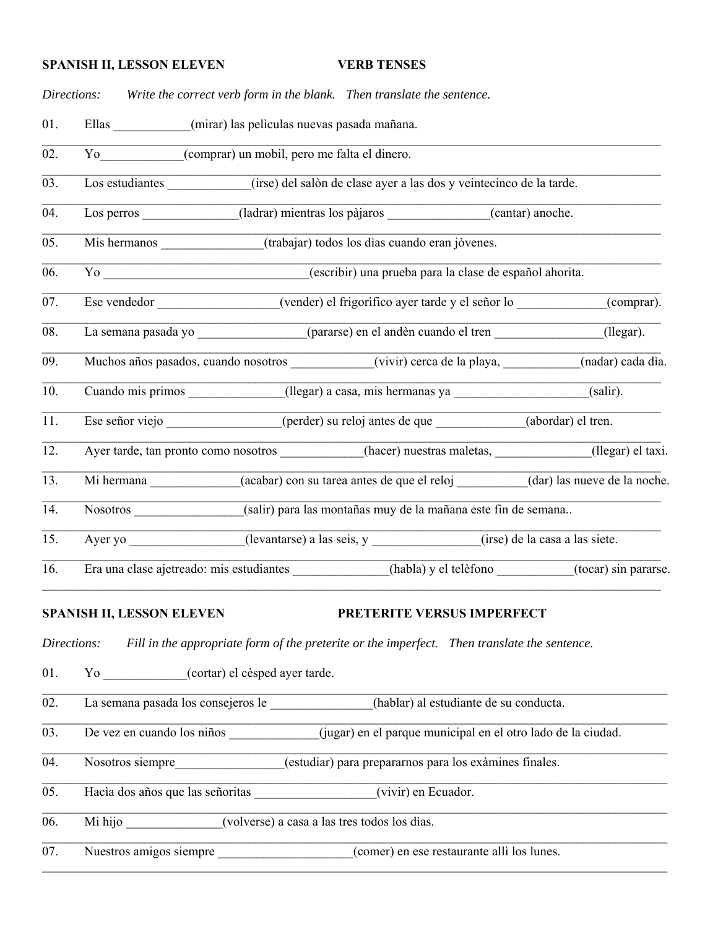#### **SPANISH II, LESSON ELEVEN VERB TENSES**

*Directions: Write the correct verb form in the blank. Then translate the sentence.*

01. Ellas (mirar) las pelìculas nuevas pasada mañana.

02. Yo\_\_\_\_\_\_\_\_\_\_\_(comprar) un mobil, pero me falta el dinero.

03. Los estudiantes (irse) del salòn de clase ayer a las dos y veintecinco de la tarde.

04. Los perros (ladrar) mientras los pàjaros (cantar) anoche.

05. Mis hermanos (trabajar) todos los dìas cuando eran jòvenes.

06. Yo \_\_\_\_\_\_\_\_\_\_\_\_\_\_\_\_\_\_\_\_\_\_\_\_\_\_\_\_\_\_\_\_(escribir) una prueba para la clase de español ahorita.

 $\mathcal{L}_\mathcal{L} = \mathcal{L}_\mathcal{L} = \mathcal{L}_\mathcal{L} = \mathcal{L}_\mathcal{L} = \mathcal{L}_\mathcal{L} = \mathcal{L}_\mathcal{L} = \mathcal{L}_\mathcal{L} = \mathcal{L}_\mathcal{L} = \mathcal{L}_\mathcal{L} = \mathcal{L}_\mathcal{L} = \mathcal{L}_\mathcal{L} = \mathcal{L}_\mathcal{L} = \mathcal{L}_\mathcal{L} = \mathcal{L}_\mathcal{L} = \mathcal{L}_\mathcal{L} = \mathcal{L}_\mathcal{L} = \mathcal{L}_\mathcal{L}$ 07. Ese vendedor (vender) el frigorìfico ayer tarde y el señor lo (comprar).

 $\mathcal{L}_\mathcal{L} = \mathcal{L}_\mathcal{L} = \mathcal{L}_\mathcal{L} = \mathcal{L}_\mathcal{L} = \mathcal{L}_\mathcal{L} = \mathcal{L}_\mathcal{L} = \mathcal{L}_\mathcal{L} = \mathcal{L}_\mathcal{L} = \mathcal{L}_\mathcal{L} = \mathcal{L}_\mathcal{L} = \mathcal{L}_\mathcal{L} = \mathcal{L}_\mathcal{L} = \mathcal{L}_\mathcal{L} = \mathcal{L}_\mathcal{L} = \mathcal{L}_\mathcal{L} = \mathcal{L}_\mathcal{L} = \mathcal{L}_\mathcal{L}$ 08. La semana pasada yo  $(pararse)$  en el andèn cuando el tren  $(legar)$ .

 $\mathcal{L}_\mathcal{L} = \mathcal{L}_\mathcal{L} = \mathcal{L}_\mathcal{L} = \mathcal{L}_\mathcal{L} = \mathcal{L}_\mathcal{L} = \mathcal{L}_\mathcal{L} = \mathcal{L}_\mathcal{L} = \mathcal{L}_\mathcal{L} = \mathcal{L}_\mathcal{L} = \mathcal{L}_\mathcal{L} = \mathcal{L}_\mathcal{L} = \mathcal{L}_\mathcal{L} = \mathcal{L}_\mathcal{L} = \mathcal{L}_\mathcal{L} = \mathcal{L}_\mathcal{L} = \mathcal{L}_\mathcal{L} = \mathcal{L}_\mathcal{L}$ 

 $\mathcal{L}_\mathcal{L} = \mathcal{L}_\mathcal{L} = \mathcal{L}_\mathcal{L} = \mathcal{L}_\mathcal{L} = \mathcal{L}_\mathcal{L} = \mathcal{L}_\mathcal{L} = \mathcal{L}_\mathcal{L} = \mathcal{L}_\mathcal{L} = \mathcal{L}_\mathcal{L} = \mathcal{L}_\mathcal{L} = \mathcal{L}_\mathcal{L} = \mathcal{L}_\mathcal{L} = \mathcal{L}_\mathcal{L} = \mathcal{L}_\mathcal{L} = \mathcal{L}_\mathcal{L} = \mathcal{L}_\mathcal{L} = \mathcal{L}_\mathcal{L}$ 

\_\_\_\_\_\_\_\_\_\_\_\_\_\_\_\_\_\_\_\_\_\_\_\_\_\_\_\_\_\_\_\_\_\_\_\_\_\_\_\_\_\_\_\_\_\_\_\_\_\_\_\_\_\_\_\_\_\_\_\_\_\_\_\_\_\_\_\_\_\_\_\_\_\_\_\_\_\_\_\_\_\_\_\_\_\_\_\_\_\_\_\_\_\_\_\_

 $\mathcal{L}_\mathcal{L} = \mathcal{L}_\mathcal{L} = \mathcal{L}_\mathcal{L} = \mathcal{L}_\mathcal{L} = \mathcal{L}_\mathcal{L} = \mathcal{L}_\mathcal{L} = \mathcal{L}_\mathcal{L} = \mathcal{L}_\mathcal{L} = \mathcal{L}_\mathcal{L} = \mathcal{L}_\mathcal{L} = \mathcal{L}_\mathcal{L} = \mathcal{L}_\mathcal{L} = \mathcal{L}_\mathcal{L} = \mathcal{L}_\mathcal{L} = \mathcal{L}_\mathcal{L} = \mathcal{L}_\mathcal{L} = \mathcal{L}_\mathcal{L}$ 

 $\mathcal{L}_\mathcal{L} = \mathcal{L}_\mathcal{L} = \mathcal{L}_\mathcal{L} = \mathcal{L}_\mathcal{L} = \mathcal{L}_\mathcal{L} = \mathcal{L}_\mathcal{L} = \mathcal{L}_\mathcal{L} = \mathcal{L}_\mathcal{L} = \mathcal{L}_\mathcal{L} = \mathcal{L}_\mathcal{L} = \mathcal{L}_\mathcal{L} = \mathcal{L}_\mathcal{L} = \mathcal{L}_\mathcal{L} = \mathcal{L}_\mathcal{L} = \mathcal{L}_\mathcal{L} = \mathcal{L}_\mathcal{L} = \mathcal{L}_\mathcal{L}$ 09. Muchos años pasados, cuando nosotros \_\_\_\_\_\_\_\_\_\_\_\_(vivir) cerca de la playa, \_\_\_\_\_\_\_\_\_(nadar) cada dìa.

10. Cuando mis primos (llegar) a casa, mis hermanas ya  $\qquad \qquad$  (salir).  $\mathcal{L}_\mathcal{L} = \mathcal{L}_\mathcal{L} = \mathcal{L}_\mathcal{L} = \mathcal{L}_\mathcal{L} = \mathcal{L}_\mathcal{L} = \mathcal{L}_\mathcal{L} = \mathcal{L}_\mathcal{L} = \mathcal{L}_\mathcal{L} = \mathcal{L}_\mathcal{L} = \mathcal{L}_\mathcal{L} = \mathcal{L}_\mathcal{L} = \mathcal{L}_\mathcal{L} = \mathcal{L}_\mathcal{L} = \mathcal{L}_\mathcal{L} = \mathcal{L}_\mathcal{L} = \mathcal{L}_\mathcal{L} = \mathcal{L}_\mathcal{L}$ 

11. Ese señor viejo en el escritor (perder) su reloj antes de que  $(abordar)$  el tren.  $\mathcal{L}_\mathcal{L} = \mathcal{L}_\mathcal{L} = \mathcal{L}_\mathcal{L} = \mathcal{L}_\mathcal{L} = \mathcal{L}_\mathcal{L} = \mathcal{L}_\mathcal{L} = \mathcal{L}_\mathcal{L} = \mathcal{L}_\mathcal{L} = \mathcal{L}_\mathcal{L} = \mathcal{L}_\mathcal{L} = \mathcal{L}_\mathcal{L} = \mathcal{L}_\mathcal{L} = \mathcal{L}_\mathcal{L} = \mathcal{L}_\mathcal{L} = \mathcal{L}_\mathcal{L} = \mathcal{L}_\mathcal{L} = \mathcal{L}_\mathcal{L}$ 

12. Ayer tarde, tan pronto como nosotros *\_\_\_\_\_\_\_\_\_\_\_\_(hacer)* nuestras maletas, \_\_\_\_\_\_\_\_\_\_\_(llegar) el taxi.

 $\mathcal{L}_\mathcal{L} = \mathcal{L}_\mathcal{L} = \mathcal{L}_\mathcal{L} = \mathcal{L}_\mathcal{L} = \mathcal{L}_\mathcal{L} = \mathcal{L}_\mathcal{L} = \mathcal{L}_\mathcal{L} = \mathcal{L}_\mathcal{L} = \mathcal{L}_\mathcal{L} = \mathcal{L}_\mathcal{L} = \mathcal{L}_\mathcal{L} = \mathcal{L}_\mathcal{L} = \mathcal{L}_\mathcal{L} = \mathcal{L}_\mathcal{L} = \mathcal{L}_\mathcal{L} = \mathcal{L}_\mathcal{L} = \mathcal{L}_\mathcal{L}$ 13. Mi hermana  $(acabar)$  con su tarea antes de que el reloj  $(dar)$  las nueve de la noche.

 $\mathcal{L}_\mathcal{L} = \mathcal{L}_\mathcal{L} = \mathcal{L}_\mathcal{L} = \mathcal{L}_\mathcal{L} = \mathcal{L}_\mathcal{L} = \mathcal{L}_\mathcal{L} = \mathcal{L}_\mathcal{L} = \mathcal{L}_\mathcal{L} = \mathcal{L}_\mathcal{L} = \mathcal{L}_\mathcal{L} = \mathcal{L}_\mathcal{L} = \mathcal{L}_\mathcal{L} = \mathcal{L}_\mathcal{L} = \mathcal{L}_\mathcal{L} = \mathcal{L}_\mathcal{L} = \mathcal{L}_\mathcal{L} = \mathcal{L}_\mathcal{L}$ 14. Nosotros (salir) para las montañas muy de la mañana este fin de semana..

15. Ayer yo (levantarse) a las seis, y (irse) de la casa a las siete.  $\mathcal{L}_\mathcal{L} = \mathcal{L}_\mathcal{L} = \mathcal{L}_\mathcal{L} = \mathcal{L}_\mathcal{L} = \mathcal{L}_\mathcal{L} = \mathcal{L}_\mathcal{L} = \mathcal{L}_\mathcal{L} = \mathcal{L}_\mathcal{L} = \mathcal{L}_\mathcal{L} = \mathcal{L}_\mathcal{L} = \mathcal{L}_\mathcal{L} = \mathcal{L}_\mathcal{L} = \mathcal{L}_\mathcal{L} = \mathcal{L}_\mathcal{L} = \mathcal{L}_\mathcal{L} = \mathcal{L}_\mathcal{L} = \mathcal{L}_\mathcal{L}$ 

16. Era una clase ajetreado: mis estudiantes (habla) y el telèfono (tocar) sin pararse.

 $\mathcal{L}_\mathcal{L} = \mathcal{L}_\mathcal{L} = \mathcal{L}_\mathcal{L} = \mathcal{L}_\mathcal{L} = \mathcal{L}_\mathcal{L} = \mathcal{L}_\mathcal{L} = \mathcal{L}_\mathcal{L} = \mathcal{L}_\mathcal{L} = \mathcal{L}_\mathcal{L} = \mathcal{L}_\mathcal{L} = \mathcal{L}_\mathcal{L} = \mathcal{L}_\mathcal{L} = \mathcal{L}_\mathcal{L} = \mathcal{L}_\mathcal{L} = \mathcal{L}_\mathcal{L} = \mathcal{L}_\mathcal{L} = \mathcal{L}_\mathcal{L}$ 

 $\mathcal{L}_\mathcal{L} = \mathcal{L}_\mathcal{L} = \mathcal{L}_\mathcal{L} = \mathcal{L}_\mathcal{L} = \mathcal{L}_\mathcal{L} = \mathcal{L}_\mathcal{L} = \mathcal{L}_\mathcal{L} = \mathcal{L}_\mathcal{L} = \mathcal{L}_\mathcal{L} = \mathcal{L}_\mathcal{L} = \mathcal{L}_\mathcal{L} = \mathcal{L}_\mathcal{L} = \mathcal{L}_\mathcal{L} = \mathcal{L}_\mathcal{L} = \mathcal{L}_\mathcal{L} = \mathcal{L}_\mathcal{L} = \mathcal{L}_\mathcal{L}$ 

 $\mathcal{L}_\mathcal{L} = \mathcal{L}_\mathcal{L} = \mathcal{L}_\mathcal{L} = \mathcal{L}_\mathcal{L} = \mathcal{L}_\mathcal{L} = \mathcal{L}_\mathcal{L} = \mathcal{L}_\mathcal{L} = \mathcal{L}_\mathcal{L} = \mathcal{L}_\mathcal{L} = \mathcal{L}_\mathcal{L} = \mathcal{L}_\mathcal{L} = \mathcal{L}_\mathcal{L} = \mathcal{L}_\mathcal{L} = \mathcal{L}_\mathcal{L} = \mathcal{L}_\mathcal{L} = \mathcal{L}_\mathcal{L} = \mathcal{L}_\mathcal{L}$ 

 $\mathcal{L}_\mathcal{L} = \mathcal{L}_\mathcal{L} = \mathcal{L}_\mathcal{L} = \mathcal{L}_\mathcal{L} = \mathcal{L}_\mathcal{L} = \mathcal{L}_\mathcal{L} = \mathcal{L}_\mathcal{L} = \mathcal{L}_\mathcal{L} = \mathcal{L}_\mathcal{L} = \mathcal{L}_\mathcal{L} = \mathcal{L}_\mathcal{L} = \mathcal{L}_\mathcal{L} = \mathcal{L}_\mathcal{L} = \mathcal{L}_\mathcal{L} = \mathcal{L}_\mathcal{L} = \mathcal{L}_\mathcal{L} = \mathcal{L}_\mathcal{L}$ 

 $\_$  , and the contribution of the contribution of the contribution of the contribution of the contribution of  $\mathcal{L}_\text{max}$ 

 $\mathcal{L}_\mathcal{L} = \mathcal{L}_\mathcal{L} = \mathcal{L}_\mathcal{L} = \mathcal{L}_\mathcal{L} = \mathcal{L}_\mathcal{L} = \mathcal{L}_\mathcal{L} = \mathcal{L}_\mathcal{L} = \mathcal{L}_\mathcal{L} = \mathcal{L}_\mathcal{L} = \mathcal{L}_\mathcal{L} = \mathcal{L}_\mathcal{L} = \mathcal{L}_\mathcal{L} = \mathcal{L}_\mathcal{L} = \mathcal{L}_\mathcal{L} = \mathcal{L}_\mathcal{L} = \mathcal{L}_\mathcal{L} = \mathcal{L}_\mathcal{L}$ 

 $\mathcal{L}_\mathcal{L} = \mathcal{L}_\mathcal{L} = \mathcal{L}_\mathcal{L} = \mathcal{L}_\mathcal{L} = \mathcal{L}_\mathcal{L} = \mathcal{L}_\mathcal{L} = \mathcal{L}_\mathcal{L} = \mathcal{L}_\mathcal{L} = \mathcal{L}_\mathcal{L} = \mathcal{L}_\mathcal{L} = \mathcal{L}_\mathcal{L} = \mathcal{L}_\mathcal{L} = \mathcal{L}_\mathcal{L} = \mathcal{L}_\mathcal{L} = \mathcal{L}_\mathcal{L} = \mathcal{L}_\mathcal{L} = \mathcal{L}_\mathcal{L}$ 

\_\_\_\_\_\_\_\_\_\_\_\_\_\_\_\_\_\_\_\_\_\_\_\_\_\_\_\_\_\_\_\_\_\_\_\_\_\_\_\_\_\_\_\_\_\_\_\_\_\_\_\_\_\_\_\_\_\_\_\_\_\_\_\_\_\_\_\_\_\_\_\_\_\_\_\_\_\_\_\_\_\_\_\_\_\_\_\_\_\_\_\_\_\_\_\_

#### **SPANISH II, LESSON ELEVEN PRETERITE VERSUS IMPERFECT**

*Directions: Fill in the appropriate form of the preterite or the imperfect. Then translate the sentence.*

01. Yo  $(contr)$  el cèsped ayer tarde.

02. La semana pasada los consejeros le  $\qquad \qquad$  (hablar) al estudiante de su conducta.

03. De vez en cuando los niños (jugar) en el parque municipal en el otro lado de la ciudad.

04. Nosotros siempre (estudiar) para prepararnos para los exàmines finales.

05. Hacìa dos años que las señoritas (vivir) en Ecuador.

06. Mi hijo \_\_\_\_\_\_\_\_\_\_\_\_\_\_\_(volverse) a casa a las tres todos los dìas.

07. Nuestros amigos siempre  $(comer)$  en ese restaurante allì los lunes.